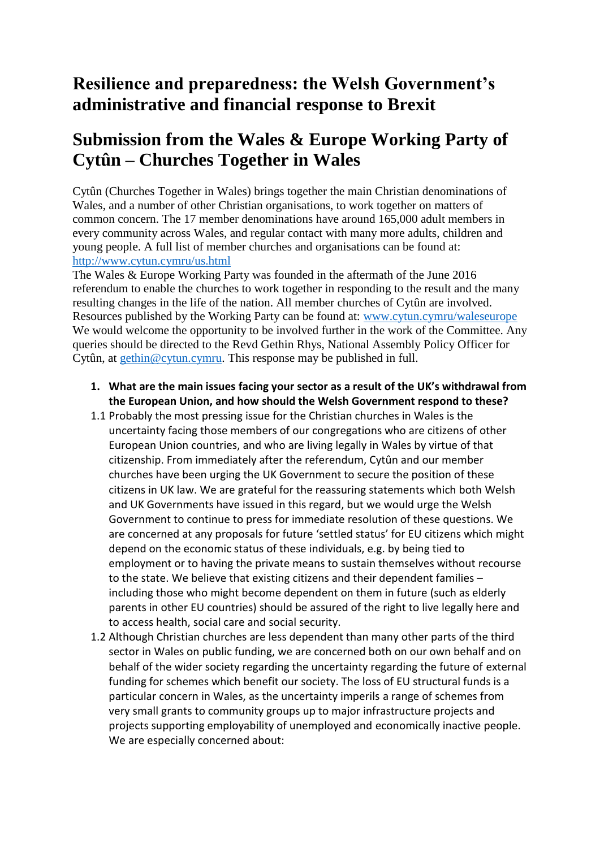## **Resilience and preparedness: the Welsh Government's administrative and financial response to Brexit**

## **Submission from the Wales & Europe Working Party of Cytûn – Churches Together in Wales**

Cytûn (Churches Together in Wales) brings together the main Christian denominations of Wales, and a number of other Christian organisations, to work together on matters of common concern. The 17 member denominations have around 165,000 adult members in every community across Wales, and regular contact with many more adults, children and young people. A full list of member churches and organisations can be found at: <http://www.cytun.cymru/us.html>

The Wales & Europe Working Party was founded in the aftermath of the June 2016 referendum to enable the churches to work together in responding to the result and the many resulting changes in the life of the nation. All member churches of Cytûn are involved. Resources published by the Working Party can be found at: [www.cytun.cymru/waleseurope](http://www.cytun.cymru/waleseurope)  We would welcome the opportunity to be involved further in the work of the Committee. Any queries should be directed to the Revd Gethin Rhys, National Assembly Policy Officer for Cytûn, at [gethin@cytun.cymru.](mailto:gethin@cytun.cymru) This response may be published in full.

## **1. What are the main issues facing your sector as a result of the UK's withdrawal from the European Union, and how should the Welsh Government respond to these?**

- 1.1 Probably the most pressing issue for the Christian churches in Wales is the uncertainty facing those members of our congregations who are citizens of other European Union countries, and who are living legally in Wales by virtue of that citizenship. From immediately after the referendum, Cytûn and our member churches have been urging the UK Government to secure the position of these citizens in UK law. We are grateful for the reassuring statements which both Welsh and UK Governments have issued in this regard, but we would urge the Welsh Government to continue to press for immediate resolution of these questions. We are concerned at any proposals for future 'settled status' for EU citizens which might depend on the economic status of these individuals, e.g. by being tied to employment or to having the private means to sustain themselves without recourse to the state. We believe that existing citizens and their dependent families – including those who might become dependent on them in future (such as elderly parents in other EU countries) should be assured of the right to live legally here and to access health, social care and social security.
- 1.2 Although Christian churches are less dependent than many other parts of the third sector in Wales on public funding, we are concerned both on our own behalf and on behalf of the wider society regarding the uncertainty regarding the future of external funding for schemes which benefit our society. The loss of EU structural funds is a particular concern in Wales, as the uncertainty imperils a range of schemes from very small grants to community groups up to major infrastructure projects and projects supporting employability of unemployed and economically inactive people. We are especially concerned about: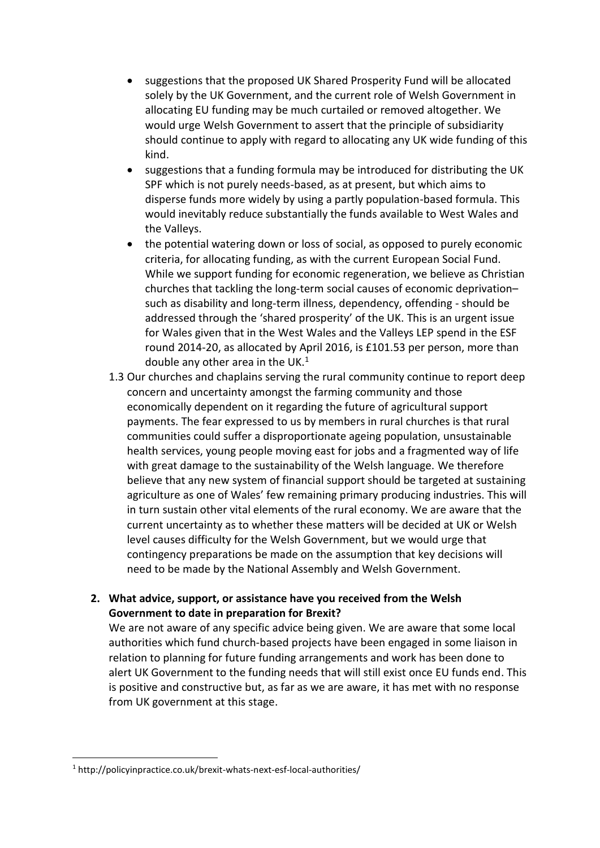- suggestions that the proposed UK Shared Prosperity Fund will be allocated solely by the UK Government, and the current role of Welsh Government in allocating EU funding may be much curtailed or removed altogether. We would urge Welsh Government to assert that the principle of subsidiarity should continue to apply with regard to allocating any UK wide funding of this kind.
- suggestions that a funding formula may be introduced for distributing the UK SPF which is not purely needs-based, as at present, but which aims to disperse funds more widely by using a partly population-based formula. This would inevitably reduce substantially the funds available to West Wales and the Valleys.
- the potential watering down or loss of social, as opposed to purely economic criteria, for allocating funding, as with the current European Social Fund. While we support funding for economic regeneration, we believe as Christian churches that tackling the long-term social causes of economic deprivation– such as disability and long-term illness, dependency, offending - should be addressed through the 'shared prosperity' of the UK. This is an urgent issue for Wales given that in the West Wales and the Valleys LEP spend in the ESF round 2014-20, as allocated by April 2016, is £101.53 per person, more than double any other area in the UK.<sup>1</sup>
- 1.3 Our churches and chaplains serving the rural community continue to report deep concern and uncertainty amongst the farming community and those economically dependent on it regarding the future of agricultural support payments. The fear expressed to us by members in rural churches is that rural communities could suffer a disproportionate ageing population, unsustainable health services, young people moving east for jobs and a fragmented way of life with great damage to the sustainability of the Welsh language. We therefore believe that any new system of financial support should be targeted at sustaining agriculture as one of Wales' few remaining primary producing industries. This will in turn sustain other vital elements of the rural economy. We are aware that the current uncertainty as to whether these matters will be decided at UK or Welsh level causes difficulty for the Welsh Government, but we would urge that contingency preparations be made on the assumption that key decisions will need to be made by the National Assembly and Welsh Government.

## **2. What advice, support, or assistance have you received from the Welsh Government to date in preparation for Brexit?**

We are not aware of any specific advice being given. We are aware that some local authorities which fund church-based projects have been engaged in some liaison in relation to planning for future funding arrangements and work has been done to alert UK Government to the funding needs that will still exist once EU funds end. This is positive and constructive but, as far as we are aware, it has met with no response from UK government at this stage.

**.** 

<sup>1</sup> http://policyinpractice.co.uk/brexit-whats-next-esf-local-authorities/